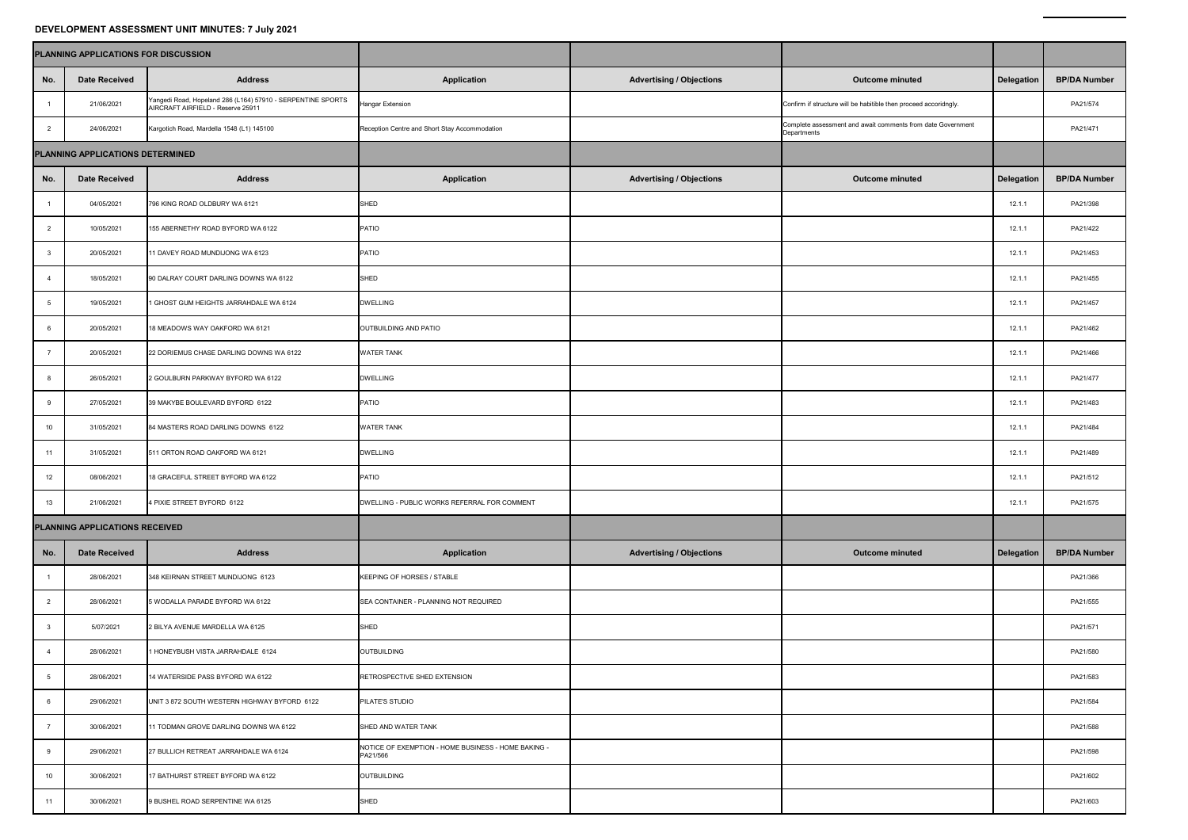## **DEVELOPMENT ASSESSMENT UNIT MINUTES: 7 July 2021**

| DEVELOPMENT ASSESSMENT UNIT MINUTES: 7 July 2021 |                      |                                                                                                  |                                                                 |                                 |                                                                            |                   |                     |  |  |  |  |  |
|--------------------------------------------------|----------------------|--------------------------------------------------------------------------------------------------|-----------------------------------------------------------------|---------------------------------|----------------------------------------------------------------------------|-------------------|---------------------|--|--|--|--|--|
| PLANNING APPLICATIONS FOR DISCUSSION             |                      |                                                                                                  |                                                                 |                                 |                                                                            |                   |                     |  |  |  |  |  |
| No.                                              | <b>Date Received</b> | <b>Address</b>                                                                                   | <b>Application</b>                                              | <b>Advertising / Objections</b> | <b>Outcome minuted</b>                                                     | <b>Delegation</b> | <b>BP/DA Number</b> |  |  |  |  |  |
|                                                  | 21/06/2021           | Yangedi Road, Hopeland 286 (L164) 57910 - SERPENTINE SPORTS<br>AIRCRAFT AIRFIELD - Reserve 25911 | <b>Hangar Extension</b>                                         |                                 | Confirm if structure will be habitible then proceed accoridngly.           |                   | PA21/574            |  |  |  |  |  |
| $\mathcal{P}$                                    | 24/06/2021           | Kargotich Road, Mardella 1548 (L1) 145100                                                        | Reception Centre and Short Stay Accommodation                   |                                 | Complete assessment and await comments from date Government<br>Departments |                   | PA21/471            |  |  |  |  |  |
| PLANNING APPLICATIONS DETERMINED                 |                      |                                                                                                  |                                                                 |                                 |                                                                            |                   |                     |  |  |  |  |  |
| No.                                              | <b>Date Received</b> | <b>Address</b>                                                                                   | <b>Application</b>                                              | <b>Advertising / Objections</b> | <b>Outcome minuted</b>                                                     | <b>Delegation</b> | <b>BP/DA Number</b> |  |  |  |  |  |
|                                                  | 04/05/2021           | 796 KING ROAD OLDBURY WA 6121                                                                    | SHED                                                            |                                 |                                                                            | 12.1.1            | PA21/398            |  |  |  |  |  |
|                                                  | 10/05/2021           | 155 ABERNETHY ROAD BYFORD WA 6122                                                                | <b>PATIO</b>                                                    |                                 |                                                                            | 12.1.1            | PA21/422            |  |  |  |  |  |
|                                                  | 20/05/2021           | 11 DAVEY ROAD MUNDIJONG WA 6123                                                                  | PATIO                                                           |                                 |                                                                            | 12.1.1            | PA21/453            |  |  |  |  |  |
|                                                  | 18/05/2021           | 90 DALRAY COURT DARLING DOWNS WA 6122                                                            | SHED                                                            |                                 |                                                                            | 12.1.1            | PA21/455            |  |  |  |  |  |
|                                                  | 19/05/2021           | 1 GHOST GUM HEIGHTS JARRAHDALE WA 6124                                                           | <b>DWELLING</b>                                                 |                                 |                                                                            | 12.1.1            | PA21/457            |  |  |  |  |  |
|                                                  | 20/05/2021           | 18 MEADOWS WAY OAKFORD WA 6121                                                                   | OUTBUILDING AND PATIO                                           |                                 |                                                                            | 12.1.1            | PA21/462            |  |  |  |  |  |
|                                                  | 20/05/2021           | 22 DORIEMUS CHASE DARLING DOWNS WA 6122                                                          | <b>WATER TANK</b>                                               |                                 |                                                                            | 12.1.1            | PA21/466            |  |  |  |  |  |
|                                                  | 26/05/2021           | 2 GOULBURN PARKWAY BYFORD WA 6122                                                                | <b>DWELLING</b>                                                 |                                 |                                                                            | 12.1.1            | PA21/477            |  |  |  |  |  |
|                                                  | 27/05/2021           | 39 MAKYBE BOULEVARD BYFORD 6122                                                                  | PATIO                                                           |                                 |                                                                            | 12.1.1            | PA21/483            |  |  |  |  |  |
| 10 <sup>°</sup>                                  | 31/05/2021           | 84 MASTERS ROAD DARLING DOWNS 6122                                                               | <b>WATER TANK</b>                                               |                                 |                                                                            | 12.1.1            | PA21/484            |  |  |  |  |  |
|                                                  | 31/05/2021           | 511 ORTON ROAD OAKFORD WA 6121                                                                   | <b>DWELLING</b>                                                 |                                 |                                                                            | 12.1.1            | PA21/489            |  |  |  |  |  |
| 12                                               | 08/06/2021           | 18 GRACEFUL STREET BYFORD WA 6122                                                                | PATIO                                                           |                                 |                                                                            | 12.1.1            | PA21/512            |  |  |  |  |  |
| 13                                               | 21/06/2021           | 4 PIXIE STREET BYFORD 6122                                                                       | DWELLING - PUBLIC WORKS REFERRAL FOR COMMENT                    |                                 |                                                                            | 12.1.1            | PA21/575            |  |  |  |  |  |
| PLANNING APPLICATIONS RECEIVED                   |                      |                                                                                                  |                                                                 |                                 |                                                                            |                   |                     |  |  |  |  |  |
| No.                                              | <b>Date Received</b> | <b>Address</b>                                                                                   | <b>Application</b>                                              | <b>Advertising / Objections</b> | <b>Outcome minuted</b>                                                     | <b>Delegation</b> | <b>BP/DA Number</b> |  |  |  |  |  |
|                                                  | 28/06/2021           | 348 KEIRNAN STREET MUNDIJONG 6123                                                                | KEEPING OF HORSES / STABLE                                      |                                 |                                                                            |                   | PA21/366            |  |  |  |  |  |
|                                                  | 28/06/2021           | 5 WODALLA PARADE BYFORD WA 6122                                                                  | SEA CONTAINER - PLANNING NOT REQUIRED                           |                                 |                                                                            |                   | PA21/555            |  |  |  |  |  |
|                                                  | 5/07/2021            | 2 BILYA AVENUE MARDELLA WA 6125                                                                  | <b>SHED</b>                                                     |                                 |                                                                            |                   | PA21/571            |  |  |  |  |  |
|                                                  | 28/06/2021           | 1 HONEYBUSH VISTA JARRAHDALE 6124                                                                | <b>OUTBUILDING</b>                                              |                                 |                                                                            |                   | PA21/580            |  |  |  |  |  |
|                                                  | 28/06/2021           | 14 WATERSIDE PASS BYFORD WA 6122                                                                 | <b>RETROSPECTIVE SHED EXTENSION</b>                             |                                 |                                                                            |                   | PA21/583            |  |  |  |  |  |
|                                                  | 29/06/2021           | UNIT 3 872 SOUTH WESTERN HIGHWAY BYFORD 6122                                                     | <b>PILATE'S STUDIO</b>                                          |                                 |                                                                            |                   | PA21/584            |  |  |  |  |  |
|                                                  | 30/06/2021           | 11 TODMAN GROVE DARLING DOWNS WA 6122                                                            | SHED AND WATER TANK                                             |                                 |                                                                            |                   | PA21/588            |  |  |  |  |  |
|                                                  | 29/06/2021           | 27 BULLICH RETREAT JARRAHDALE WA 6124                                                            | NOTICE OF EXEMPTION - HOME BUSINESS - HOME BAKING -<br>PA21/566 |                                 |                                                                            |                   | PA21/598            |  |  |  |  |  |
| 10 <sup>°</sup>                                  | 30/06/2021           | 17 BATHURST STREET BYFORD WA 6122                                                                | <b>OUTBUILDING</b>                                              |                                 |                                                                            |                   | PA21/602            |  |  |  |  |  |
| 11                                               | 30/06/2021           | 9 BUSHEL ROAD SERPENTINE WA 6125                                                                 | <b>SHED</b>                                                     |                                 |                                                                            |                   | PA21/603            |  |  |  |  |  |